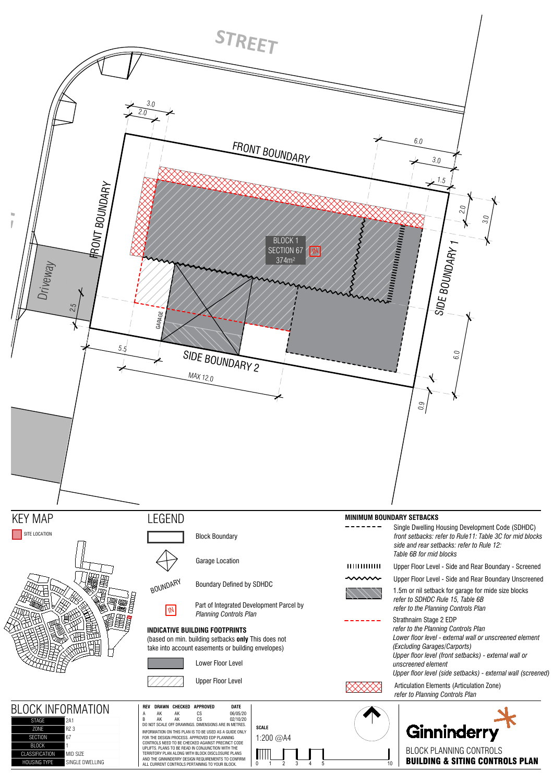